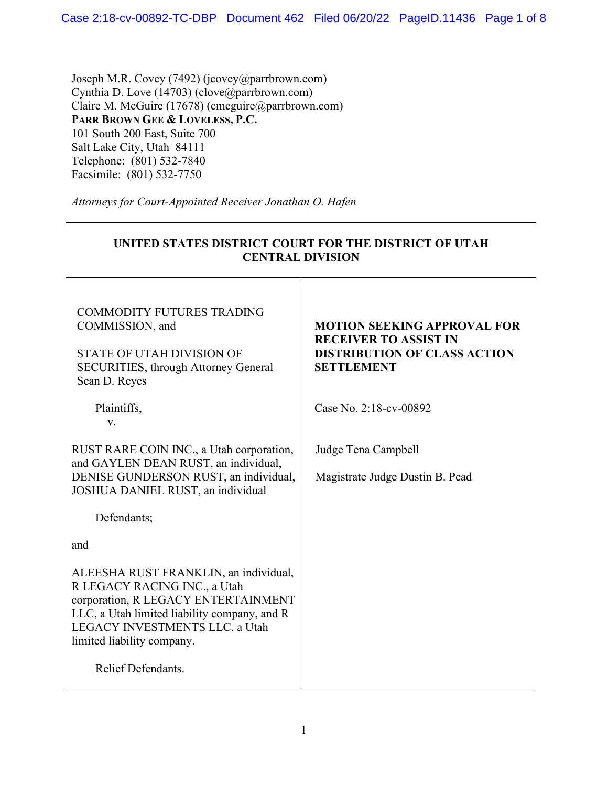Joseph M.R. Covey (7492) (jcovey@parrbrown.com) Cynthia D. Love (14703) (clove@parrbrown.com) Claire M. McGuire (17678) (cmcguire@parrbrown.com) **PARR BROWN GEE & LOVELESS, P.C.** 101 South 200 East, Suite 700 Salt Lake City, Utah 84111 Telephone: (801) 532-7840 Facsimile: (801) 532-7750

*Attorneys for Court-Appointed Receiver Jonathan O. Hafen* 

| UNITED STATES DISTRICT COURT FOR THE DISTRICT OF UTAH<br><b>CENTRAL DIVISION</b>                                                                                                                                             |                                                                                                                                |
|------------------------------------------------------------------------------------------------------------------------------------------------------------------------------------------------------------------------------|--------------------------------------------------------------------------------------------------------------------------------|
| <b>COMMODITY FUTURES TRADING</b><br>COMMISSION, and<br><b>STATE OF UTAH DIVISION OF</b><br><b>SECURITIES, through Attorney General</b><br>Sean D. Reyes                                                                      | <b>MOTION SEEKING APPROVAL FOR</b><br><b>RECEIVER TO ASSIST IN</b><br><b>DISTRIBUTION OF CLASS ACTION</b><br><b>SETTLEMENT</b> |
| Plaintiffs,<br>V.                                                                                                                                                                                                            | Case No. 2:18-cv-00892                                                                                                         |
| RUST RARE COIN INC., a Utah corporation,<br>and GAYLEN DEAN RUST, an individual,<br>DENISE GUNDERSON RUST, an individual,<br>JOSHUA DANIEL RUST, an individual                                                               | Judge Tena Campbell<br>Magistrate Judge Dustin B. Pead                                                                         |
| Defendants;                                                                                                                                                                                                                  |                                                                                                                                |
| and                                                                                                                                                                                                                          |                                                                                                                                |
| ALEESHA RUST FRANKLIN, an individual,<br>R LEGACY RACING INC., a Utah<br>corporation, R LEGACY ENTERTAINMENT<br>LLC, a Utah limited liability company, and R<br>LEGACY INVESTMENTS LLC, a Utah<br>limited liability company. |                                                                                                                                |
| Relief Defendants.                                                                                                                                                                                                           |                                                                                                                                |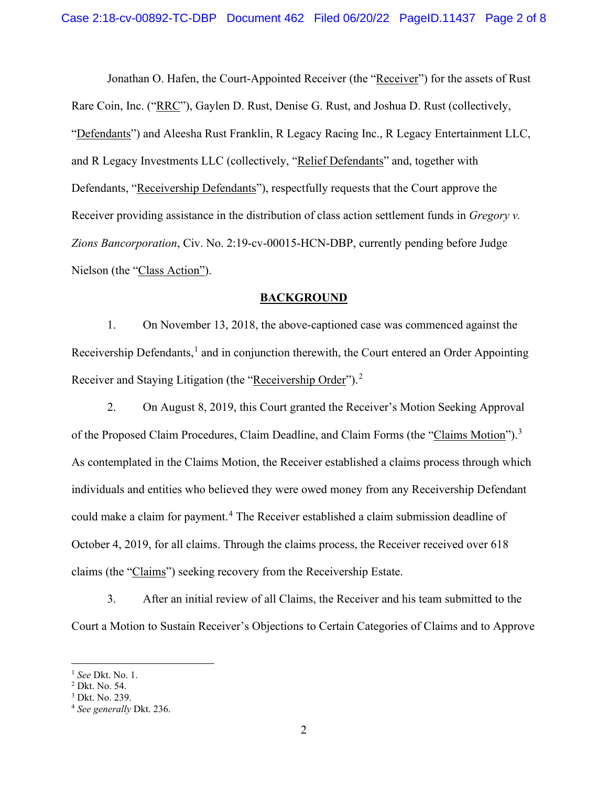Jonathan O. Hafen, the Court-Appointed Receiver (the "Receiver") for the assets of Rust Rare Coin, Inc. ("RRC"), Gaylen D. Rust, Denise G. Rust, and Joshua D. Rust (collectively, "Defendants") and Aleesha Rust Franklin, R Legacy Racing Inc., R Legacy Entertainment LLC, and R Legacy Investments LLC (collectively, "Relief Defendants" and, together with Defendants, "Receivership Defendants"), respectfully requests that the Court approve the Receiver providing assistance in the distribution of class action settlement funds in *Gregory v. Zions Bancorporation*, Civ. No. 2:19-cv-00015-HCN-DBP, currently pending before Judge Nielson (the "Class Action").

## **BACKGROUND**

1. On November 13, 2018, the above-captioned case was commenced against the Receivership Defendants, $<sup>1</sup>$  $<sup>1</sup>$  $<sup>1</sup>$  and in conjunction therewith, the Court entered an Order Appointing</sup> Receiver and Staying Litigation (the "Receivership Order").<sup>[2](#page-1-1)</sup>

2. On August 8, 2019, this Court granted the Receiver's Motion Seeking Approval of the Proposed Claim Procedures, Claim Deadline, and Claim Forms (the "Claims Motion").<sup>[3](#page-1-2)</sup> As contemplated in the Claims Motion, the Receiver established a claims process through which individuals and entities who believed they were owed money from any Receivership Defendant could make a claim for payment.<sup>[4](#page-1-3)</sup> The Receiver established a claim submission deadline of October 4, 2019, for all claims. Through the claims process, the Receiver received over 618 claims (the "Claims") seeking recovery from the Receivership Estate.

3. After an initial review of all Claims, the Receiver and his team submitted to the Court a Motion to Sustain Receiver's Objections to Certain Categories of Claims and to Approve

<span id="page-1-0"></span><sup>&</sup>lt;sup>1</sup> *See* Dkt. No. 1.<br><sup>2</sup> Dkt. No. 54.

<span id="page-1-1"></span>

<span id="page-1-2"></span><sup>3</sup> Dkt. No. 239.

<span id="page-1-3"></span><sup>4</sup> *See generally* Dkt. 236.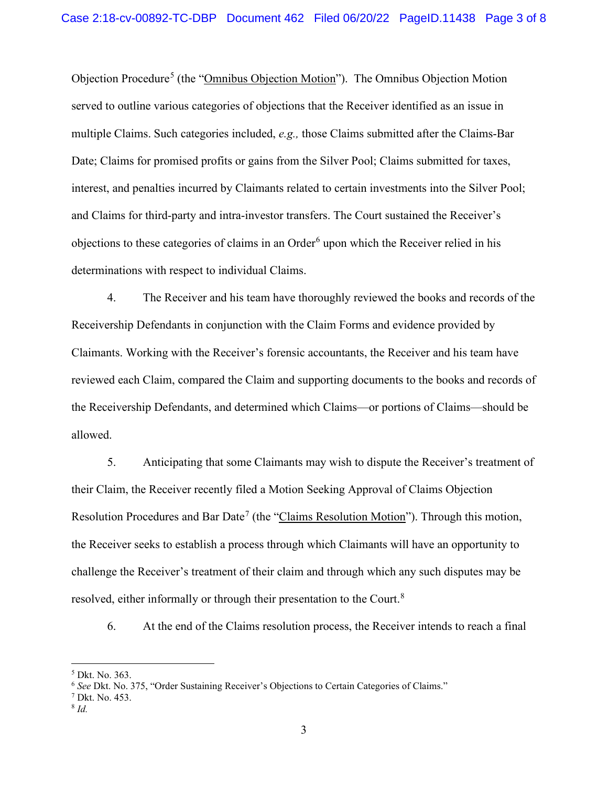Objection Procedure[5](#page-2-0) (the "Omnibus Objection Motion"). The Omnibus Objection Motion served to outline various categories of objections that the Receiver identified as an issue in multiple Claims. Such categories included, *e.g.,* those Claims submitted after the Claims-Bar Date; Claims for promised profits or gains from the Silver Pool; Claims submitted for taxes, interest, and penalties incurred by Claimants related to certain investments into the Silver Pool; and Claims for third-party and intra-investor transfers. The Court sustained the Receiver's objections to these categories of claims in an Order<sup>[6](#page-2-1)</sup> upon which the Receiver relied in his determinations with respect to individual Claims.

4. The Receiver and his team have thoroughly reviewed the books and records of the Receivership Defendants in conjunction with the Claim Forms and evidence provided by Claimants. Working with the Receiver's forensic accountants, the Receiver and his team have reviewed each Claim, compared the Claim and supporting documents to the books and records of the Receivership Defendants, and determined which Claims—or portions of Claims—should be allowed.

5. Anticipating that some Claimants may wish to dispute the Receiver's treatment of their Claim, the Receiver recently filed a Motion Seeking Approval of Claims Objection Resolution Procedures and Bar Date<sup>[7](#page-2-2)</sup> (the "Claims Resolution Motion"). Through this motion, the Receiver seeks to establish a process through which Claimants will have an opportunity to challenge the Receiver's treatment of their claim and through which any such disputes may be resolved, either informally or through their presentation to the Court.<sup>[8](#page-2-3)</sup>

6. At the end of the Claims resolution process, the Receiver intends to reach a final

<span id="page-2-0"></span><sup>5</sup> Dkt. No. 363.

<span id="page-2-2"></span><span id="page-2-1"></span><sup>6</sup> *See* Dkt. No. 375, "Order Sustaining Receiver's Objections to Certain Categories of Claims." 7 Dkt. No. 453.

<span id="page-2-3"></span><sup>8</sup> *Id.*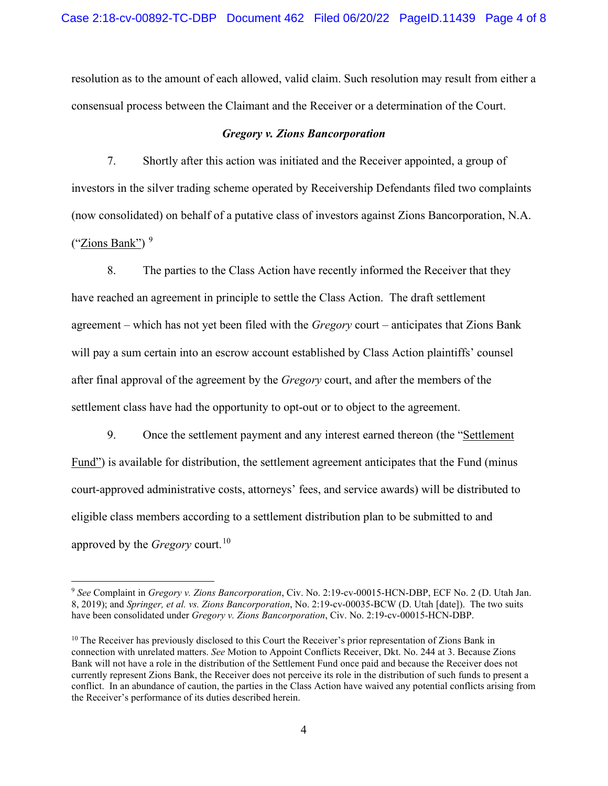resolution as to the amount of each allowed, valid claim. Such resolution may result from either a consensual process between the Claimant and the Receiver or a determination of the Court.

## *Gregory v. Zions Bancorporation*

7. Shortly after this action was initiated and the Receiver appointed, a group of investors in the silver trading scheme operated by Receivership Defendants filed two complaints (now consolidated) on behalf of a putative class of investors against Zions Bancorporation, N.A. ("Zions Bank")  $9$ 

8. The parties to the Class Action have recently informed the Receiver that they have reached an agreement in principle to settle the Class Action. The draft settlement agreement – which has not yet been filed with the *Gregory* court – anticipates that Zions Bank will pay a sum certain into an escrow account established by Class Action plaintiffs' counsel after final approval of the agreement by the *Gregory* court, and after the members of the settlement class have had the opportunity to opt-out or to object to the agreement.

9. Once the settlement payment and any interest earned thereon (the "Settlement Fund") is available for distribution, the settlement agreement anticipates that the Fund (minus court-approved administrative costs, attorneys' fees, and service awards) will be distributed to eligible class members according to a settlement distribution plan to be submitted to and approved by the *Gregory* court.<sup>[10](#page-3-1)</sup>

<span id="page-3-0"></span><sup>9</sup> *See* Complaint in *Gregory v. Zions Bancorporation*, Civ. No. 2:19-cv-00015-HCN-DBP, ECF No. 2 (D. Utah Jan. 8, 2019); and *Springer, et al. vs. Zions Bancorporation*, No. 2:19-cv-00035-BCW (D. Utah [date]). The two suits have been consolidated under *Gregory v. Zions Bancorporation*, Civ. No. 2:19-cv-00015-HCN-DBP.

<span id="page-3-1"></span><sup>&</sup>lt;sup>10</sup> The Receiver has previously disclosed to this Court the Receiver's prior representation of Zions Bank in connection with unrelated matters. *See* Motion to Appoint Conflicts Receiver, Dkt. No. 244 at 3. Because Zions Bank will not have a role in the distribution of the Settlement Fund once paid and because the Receiver does not currently represent Zions Bank, the Receiver does not perceive its role in the distribution of such funds to present a conflict. In an abundance of caution, the parties in the Class Action have waived any potential conflicts arising from the Receiver's performance of its duties described herein.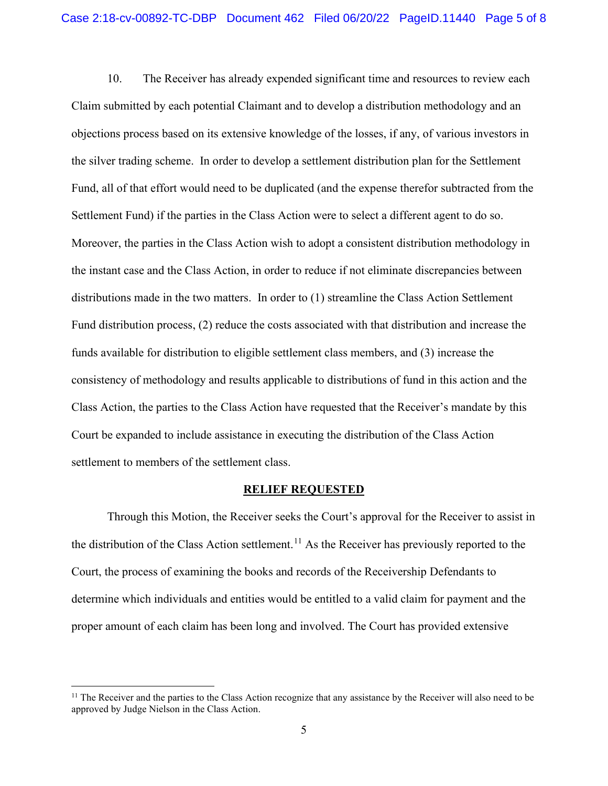10. The Receiver has already expended significant time and resources to review each Claim submitted by each potential Claimant and to develop a distribution methodology and an objections process based on its extensive knowledge of the losses, if any, of various investors in the silver trading scheme. In order to develop a settlement distribution plan for the Settlement Fund, all of that effort would need to be duplicated (and the expense therefor subtracted from the Settlement Fund) if the parties in the Class Action were to select a different agent to do so. Moreover, the parties in the Class Action wish to adopt a consistent distribution methodology in the instant case and the Class Action, in order to reduce if not eliminate discrepancies between distributions made in the two matters. In order to (1) streamline the Class Action Settlement Fund distribution process, (2) reduce the costs associated with that distribution and increase the funds available for distribution to eligible settlement class members, and (3) increase the consistency of methodology and results applicable to distributions of fund in this action and the Class Action, the parties to the Class Action have requested that the Receiver's mandate by this Court be expanded to include assistance in executing the distribution of the Class Action settlement to members of the settlement class.

### **RELIEF REQUESTED**

Through this Motion, the Receiver seeks the Court's approval for the Receiver to assist in the distribution of the Class Action settlement.<sup>[11](#page-4-0)</sup> As the Receiver has previously reported to the Court, the process of examining the books and records of the Receivership Defendants to determine which individuals and entities would be entitled to a valid claim for payment and the proper amount of each claim has been long and involved. The Court has provided extensive

<span id="page-4-0"></span> $11$  The Receiver and the parties to the Class Action recognize that any assistance by the Receiver will also need to be approved by Judge Nielson in the Class Action.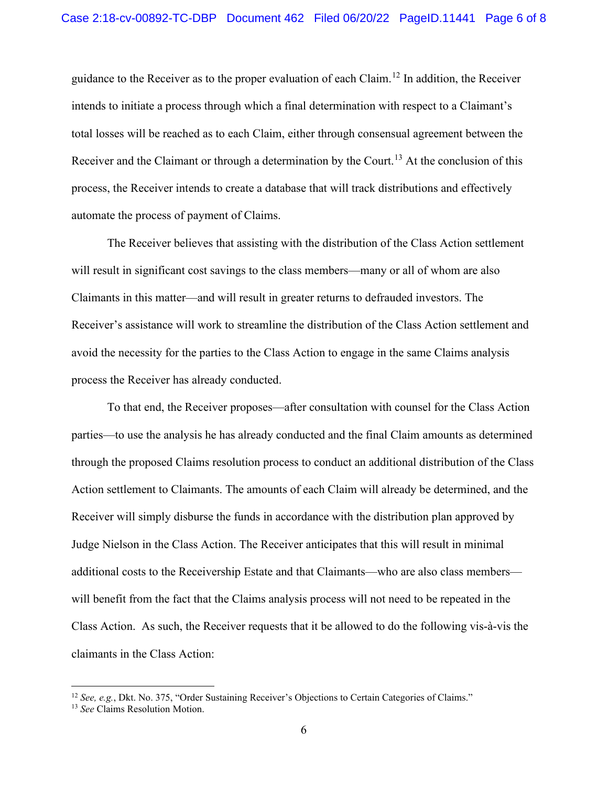guidance to the Receiver as to the proper evaluation of each Claim.[12](#page-5-0) In addition, the Receiver intends to initiate a process through which a final determination with respect to a Claimant's total losses will be reached as to each Claim, either through consensual agreement between the Receiver and the Claimant or through a determination by the Court.<sup>[13](#page-5-1)</sup> At the conclusion of this process, the Receiver intends to create a database that will track distributions and effectively automate the process of payment of Claims.

The Receiver believes that assisting with the distribution of the Class Action settlement will result in significant cost savings to the class members—many or all of whom are also Claimants in this matter—and will result in greater returns to defrauded investors. The Receiver's assistance will work to streamline the distribution of the Class Action settlement and avoid the necessity for the parties to the Class Action to engage in the same Claims analysis process the Receiver has already conducted.

To that end, the Receiver proposes—after consultation with counsel for the Class Action parties—to use the analysis he has already conducted and the final Claim amounts as determined through the proposed Claims resolution process to conduct an additional distribution of the Class Action settlement to Claimants. The amounts of each Claim will already be determined, and the Receiver will simply disburse the funds in accordance with the distribution plan approved by Judge Nielson in the Class Action. The Receiver anticipates that this will result in minimal additional costs to the Receivership Estate and that Claimants—who are also class members will benefit from the fact that the Claims analysis process will not need to be repeated in the Class Action. As such, the Receiver requests that it be allowed to do the following vis-à-vis the claimants in the Class Action:

<span id="page-5-0"></span><sup>&</sup>lt;sup>12</sup> *See, e.g.*, Dkt. No. 375, "Order Sustaining Receiver's Objections to Certain Categories of Claims."

<span id="page-5-1"></span><sup>13</sup> *See* Claims Resolution Motion.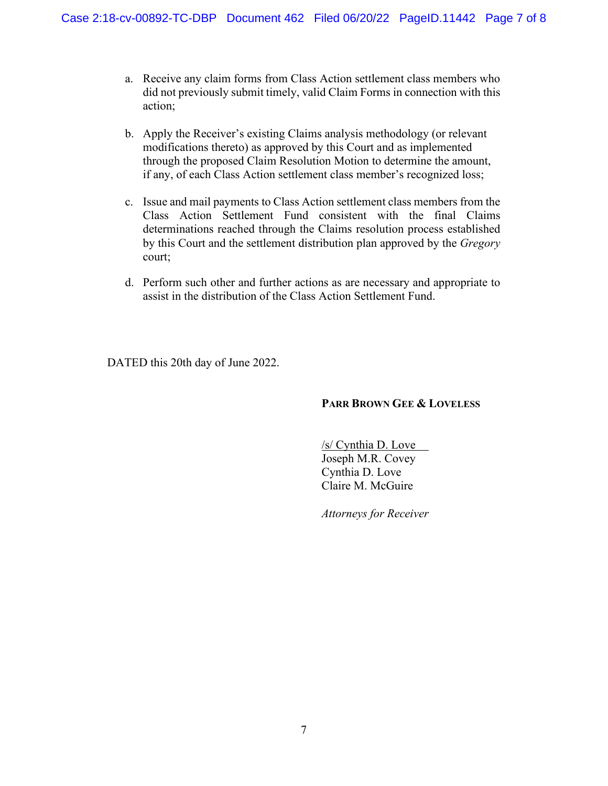- a. Receive any claim forms from Class Action settlement class members who did not previously submit timely, valid Claim Forms in connection with this action;
- b. Apply the Receiver's existing Claims analysis methodology (or relevant modifications thereto) as approved by this Court and as implemented through the proposed Claim Resolution Motion to determine the amount, if any, of each Class Action settlement class member's recognized loss;
- c. Issue and mail payments to Class Action settlement class members from the Class Action Settlement Fund consistent with the final Claims determinations reached through the Claims resolution process established by this Court and the settlement distribution plan approved by the *Gregory*  court;
- d. Perform such other and further actions as are necessary and appropriate to assist in the distribution of the Class Action Settlement Fund.

DATED this 20th day of June 2022.

# **PARR BROWN GEE & LOVELESS**

/s/ Cynthia D. Love Joseph M.R. Covey Cynthia D. Love Claire M. McGuire

*Attorneys for Receiver*